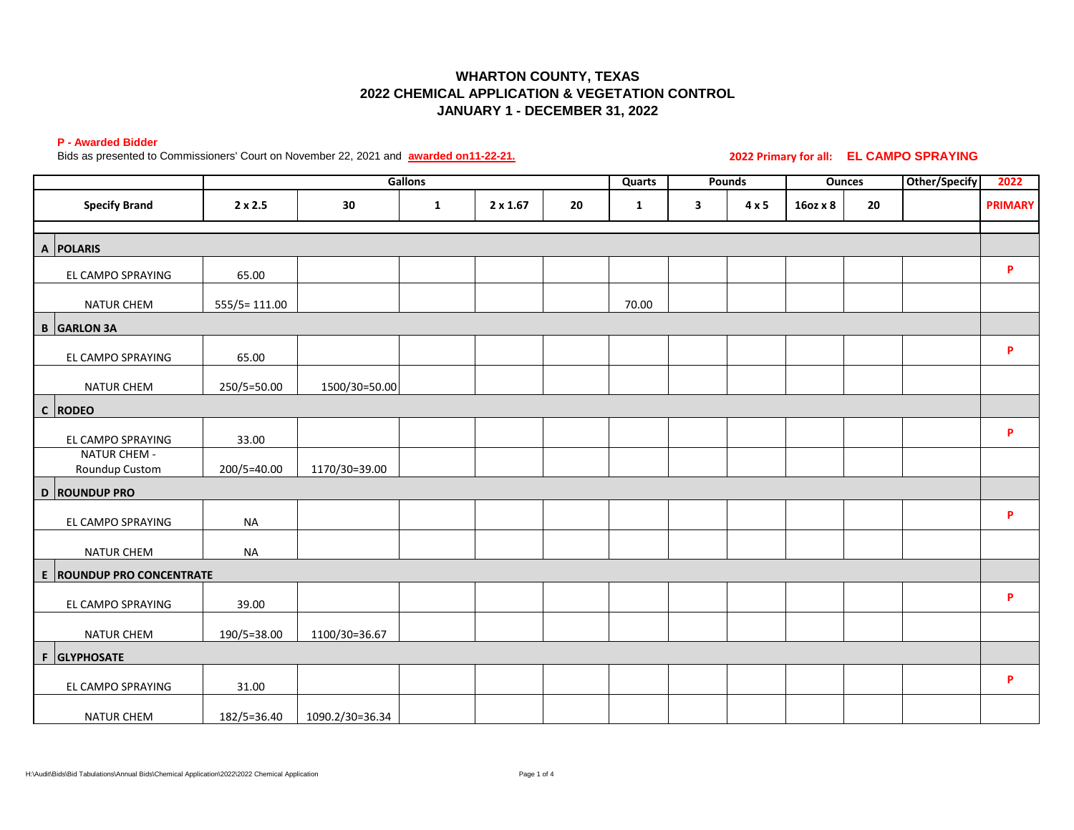# **WHARTON COUNTY, TEXAS 2022 CHEMICAL APPLICATION & VEGETATION CONTROL JANUARY 1 - DECEMBER 31, 2022**

#### **P - Awarded Bidder**

Bids as presented to Commissioners' Court on November 22, 2021 and **awarded on11-22-21.** 

**2022 Primary for all: EL CAMPO SPRAYING** 

|                                       | Gallons        |                 |              | <b>Quarts</b>   | Pounds |              | <b>Ounces</b> |              | <b>Other/Specify</b> | 2022 |  |                |
|---------------------------------------|----------------|-----------------|--------------|-----------------|--------|--------------|---------------|--------------|----------------------|------|--|----------------|
| <b>Specify Brand</b>                  | $2 \times 2.5$ | 30              | $\mathbf{1}$ | $2 \times 1.67$ | 20     | $\mathbf{1}$ | 3             | $4 \times 5$ | 16oz x 8             | 20   |  | <b>PRIMARY</b> |
|                                       |                |                 |              |                 |        |              |               |              |                      |      |  |                |
| A POLARIS                             |                |                 |              |                 |        |              |               |              |                      |      |  |                |
| EL CAMPO SPRAYING                     | 65.00          |                 |              |                 |        |              |               |              |                      |      |  | P              |
| <b>NATUR CHEM</b>                     | 555/5=111.00   |                 |              |                 |        | 70.00        |               |              |                      |      |  |                |
| <b>B</b> GARLON 3A                    |                |                 |              |                 |        |              |               |              |                      |      |  |                |
| EL CAMPO SPRAYING                     | 65.00          |                 |              |                 |        |              |               |              |                      |      |  | P              |
| NATUR CHEM                            | 250/5=50.00    | 1500/30=50.00   |              |                 |        |              |               |              |                      |      |  |                |
| $ c $ RODEO                           |                |                 |              |                 |        |              |               |              |                      |      |  |                |
| EL CAMPO SPRAYING                     | 33.00          |                 |              |                 |        |              |               |              |                      |      |  | P              |
| <b>NATUR CHEM -</b><br>Roundup Custom | 200/5=40.00    | 1170/30=39.00   |              |                 |        |              |               |              |                      |      |  |                |
| D ROUNDUP PRO                         |                |                 |              |                 |        |              |               |              |                      |      |  |                |
| EL CAMPO SPRAYING                     | <b>NA</b>      |                 |              |                 |        |              |               |              |                      |      |  | P              |
| NATUR CHEM                            | <b>NA</b>      |                 |              |                 |        |              |               |              |                      |      |  |                |
| E ROUNDUP PRO CONCENTRATE             |                |                 |              |                 |        |              |               |              |                      |      |  |                |
| EL CAMPO SPRAYING                     | 39.00          |                 |              |                 |        |              |               |              |                      |      |  | P              |
| <b>NATUR CHEM</b>                     | 190/5=38.00    | 1100/30=36.67   |              |                 |        |              |               |              |                      |      |  |                |
| F GLYPHOSATE                          |                |                 |              |                 |        |              |               |              |                      |      |  |                |
| EL CAMPO SPRAYING                     | 31.00          |                 |              |                 |        |              |               |              |                      |      |  | P              |
| NATUR CHEM                            | 182/5=36.40    | 1090.2/30=36.34 |              |                 |        |              |               |              |                      |      |  |                |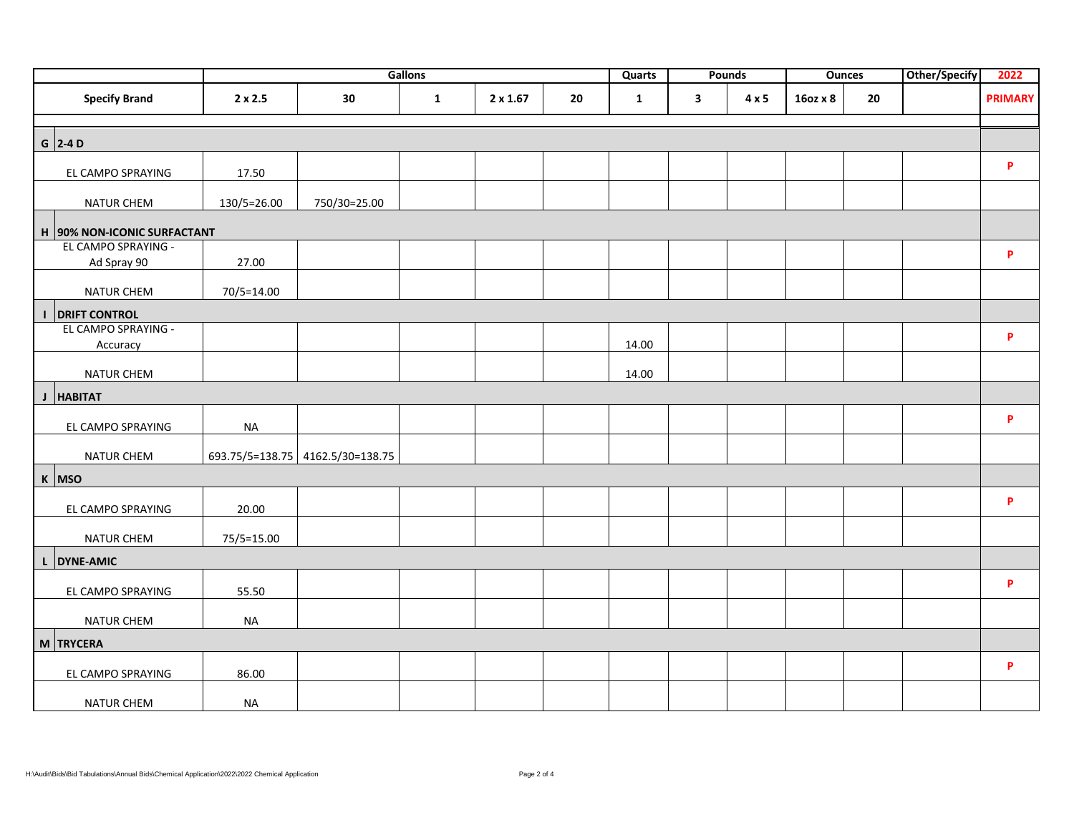|                               |                |                                  | Gallons      |                 |    | <b>Quarts</b> |              | Pounds       |          | <b>Ounces</b> | <b>Other/Specify</b> | 2022               |
|-------------------------------|----------------|----------------------------------|--------------|-----------------|----|---------------|--------------|--------------|----------|---------------|----------------------|--------------------|
| <b>Specify Brand</b>          | $2 \times 2.5$ | 30                               | $\mathbf{1}$ | $2 \times 1.67$ | 20 | $\mathbf{1}$  | $\mathbf{3}$ | $4 \times 5$ | 16oz x 8 | 20            |                      | <b>PRIMARY</b>     |
|                               |                |                                  |              |                 |    |               |              |              |          |               |                      |                    |
| $G$ 2-4 D                     |                |                                  |              |                 |    |               |              |              |          |               |                      |                    |
| EL CAMPO SPRAYING             | 17.50          |                                  |              |                 |    |               |              |              |          |               |                      | P                  |
| NATUR CHEM                    | 130/5=26.00    | 750/30=25.00                     |              |                 |    |               |              |              |          |               |                      |                    |
| H  90% NON-ICONIC SURFACTANT  |                |                                  |              |                 |    |               |              |              |          |               |                      |                    |
| EL CAMPO SPRAYING -           |                |                                  |              |                 |    |               |              |              |          |               |                      |                    |
| Ad Spray 90                   | 27.00          |                                  |              |                 |    |               |              |              |          |               |                      | P                  |
| <b>NATUR CHEM</b>             | 70/5=14.00     |                                  |              |                 |    |               |              |              |          |               |                      |                    |
| <b>I DRIFT CONTROL</b>        |                |                                  |              |                 |    |               |              |              |          |               |                      |                    |
| EL CAMPO SPRAYING -           |                |                                  |              |                 |    |               |              |              |          |               |                      |                    |
| Accuracy                      |                |                                  |              |                 |    | 14.00         |              |              |          |               |                      | $\pmb{\mathsf{P}}$ |
| NATUR CHEM                    |                |                                  |              |                 |    | 14.00         |              |              |          |               |                      |                    |
| $\mathbf J$<br><b>HABITAT</b> |                |                                  |              |                 |    |               |              |              |          |               |                      |                    |
| EL CAMPO SPRAYING             | <b>NA</b>      |                                  |              |                 |    |               |              |              |          |               |                      | P                  |
| NATUR CHEM                    |                | 693.75/5=138.75 4162.5/30=138.75 |              |                 |    |               |              |              |          |               |                      |                    |
| K MSO                         |                |                                  |              |                 |    |               |              |              |          |               |                      |                    |
|                               |                |                                  |              |                 |    |               |              |              |          |               |                      | P                  |
| EL CAMPO SPRAYING             | 20.00          |                                  |              |                 |    |               |              |              |          |               |                      |                    |
| NATUR CHEM                    | 75/5=15.00     |                                  |              |                 |    |               |              |              |          |               |                      |                    |
| L DYNE-AMIC                   |                |                                  |              |                 |    |               |              |              |          |               |                      |                    |
| EL CAMPO SPRAYING             | 55.50          |                                  |              |                 |    |               |              |              |          |               |                      | P                  |
| NATUR CHEM                    | <b>NA</b>      |                                  |              |                 |    |               |              |              |          |               |                      |                    |
| M TRYCERA                     |                |                                  |              |                 |    |               |              |              |          |               |                      |                    |
|                               |                |                                  |              |                 |    |               |              |              |          |               |                      | P                  |
| EL CAMPO SPRAYING             | 86.00          |                                  |              |                 |    |               |              |              |          |               |                      |                    |
| NATUR CHEM                    | <b>NA</b>      |                                  |              |                 |    |               |              |              |          |               |                      |                    |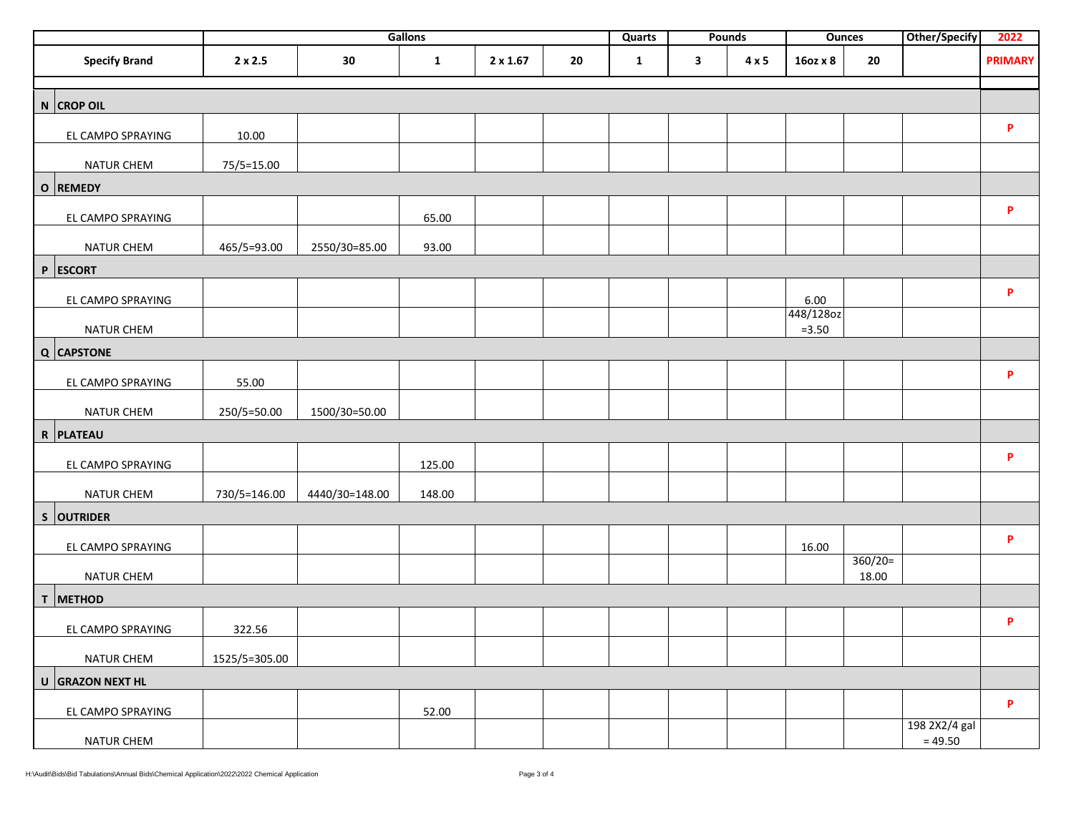|                      | Gallons<br>Quarts |                | Pounds       |                 | <b>Ounces</b> |              | <b>Other/Specify</b> | 2022         |                       |                    |                            |                |
|----------------------|-------------------|----------------|--------------|-----------------|---------------|--------------|----------------------|--------------|-----------------------|--------------------|----------------------------|----------------|
| <b>Specify Brand</b> | $2 \times 2.5$    | 30             | $\mathbf{1}$ | $2 \times 1.67$ | 20            | $\mathbf{1}$ | $\mathbf{3}$         | $4 \times 5$ | 16oz x 8              | 20                 |                            | <b>PRIMARY</b> |
| N CROP OIL           |                   |                |              |                 |               |              |                      |              |                       |                    |                            |                |
| EL CAMPO SPRAYING    | 10.00             |                |              |                 |               |              |                      |              |                       |                    |                            | P              |
| NATUR CHEM           | 75/5=15.00        |                |              |                 |               |              |                      |              |                       |                    |                            |                |
| O REMEDY             |                   |                |              |                 |               |              |                      |              |                       |                    |                            |                |
| EL CAMPO SPRAYING    |                   |                | 65.00        |                 |               |              |                      |              |                       |                    |                            | P              |
| NATUR CHEM           | 465/5=93.00       | 2550/30=85.00  | 93.00        |                 |               |              |                      |              |                       |                    |                            |                |
| P ESCORT             |                   |                |              |                 |               |              |                      |              |                       |                    |                            |                |
| EL CAMPO SPRAYING    |                   |                |              |                 |               |              |                      |              | 6.00                  |                    |                            | P              |
| <b>NATUR CHEM</b>    |                   |                |              |                 |               |              |                      |              | 448/128oz<br>$= 3.50$ |                    |                            |                |
| Q CAPSTONE           |                   |                |              |                 |               |              |                      |              |                       |                    |                            |                |
| EL CAMPO SPRAYING    | 55.00             |                |              |                 |               |              |                      |              |                       |                    |                            | P              |
| <b>NATUR CHEM</b>    | 250/5=50.00       | 1500/30=50.00  |              |                 |               |              |                      |              |                       |                    |                            |                |
| R PLATEAU            |                   |                |              |                 |               |              |                      |              |                       |                    |                            |                |
| EL CAMPO SPRAYING    |                   |                | 125.00       |                 |               |              |                      |              |                       |                    |                            | P              |
| <b>NATUR CHEM</b>    | 730/5=146.00      | 4440/30=148.00 | 148.00       |                 |               |              |                      |              |                       |                    |                            |                |
| S OUTRIDER           |                   |                |              |                 |               |              |                      |              |                       |                    |                            |                |
| EL CAMPO SPRAYING    |                   |                |              |                 |               |              |                      |              | 16.00                 |                    |                            | P              |
| NATUR CHEM           |                   |                |              |                 |               |              |                      |              |                       | $360/20=$<br>18.00 |                            |                |
| T METHOD             |                   |                |              |                 |               |              |                      |              |                       |                    |                            |                |
| EL CAMPO SPRAYING    | 322.56            |                |              |                 |               |              |                      |              |                       |                    |                            | P              |
| <b>NATUR CHEM</b>    | 1525/5=305.00     |                |              |                 |               |              |                      |              |                       |                    |                            |                |
| U GRAZON NEXT HL     |                   |                |              |                 |               |              |                      |              |                       |                    |                            |                |
| EL CAMPO SPRAYING    |                   |                | 52.00        |                 |               |              |                      |              |                       |                    |                            | P              |
| NATUR CHEM           |                   |                |              |                 |               |              |                      |              |                       |                    | 198 2X2/4 gal<br>$= 49.50$ |                |